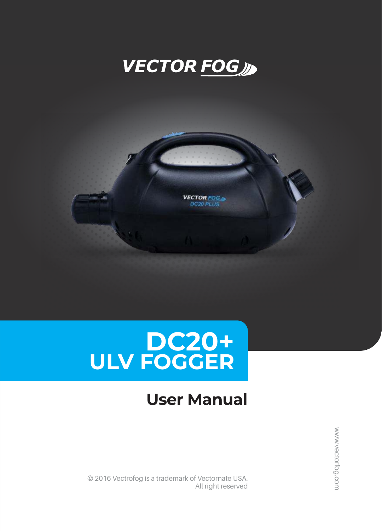





## **User Manual**

© 2016 Vectrofog is a trademark of Vectornate USA. All right reserved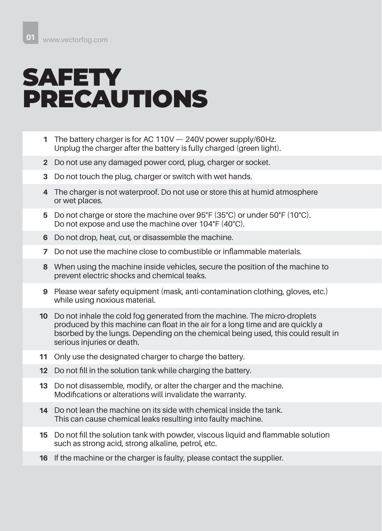## **SAFETY** PRECAUTIONS

- The battery charger is for AC 110V 240V power supply/60Hz. **1** Unplug the charger after the battery is fully charged (green light).
- Do not use any damaged power cord, plug, charger or socket. **2**
- Do not touch the plug, charger or switch with wet hands. **3**
- The charger is not waterproof. Do not use or store this at humid atmosphere **4** or wet places.
- Do not charge or store the machine over 95°F (35°C) or under 50°F (10°C). **5** Do not expose and use the machine over 104°F (40°C).
- Do not drop, heat, cut, or disassemble the machine. **6**
- Do not use the machine close to combustible or inflammable materials. **7**
- When using the machine inside vehicles, secure the position of the machine to **8** prevent electric shocks and chemical teaks.
- Please wear safety equipment (mask, anti-contamination clothing, gloves, etc.) **9** while using noxious material.
- Do not inhale the cold fog generated from the machine. The micro-droplets **10** produced by this machine can float in the air for a long time and are quickly a bsorbed by the lungs. Depending on the chemical being used, this could result in serious injuries or death.
- Only use the designated charger to charge the battery. **11**
- 12 Do not fill in the solution tank while charging the battery.
- Do not disassemble, modify, or alter the charger and the machine. **13** Modifications or alterations will invalidate the warranty.
- Do not lean the machine on its side with chemical inside the tank. **14** This can cause chemical leaks resulting into faulty machine.
- **15** Do not fill the solution tank with powder, viscous liquid and flammable solution such as strong acid, strong alkaline, petrol, etc.
- **16** If the machine or the charger is faulty, please contact the supplier.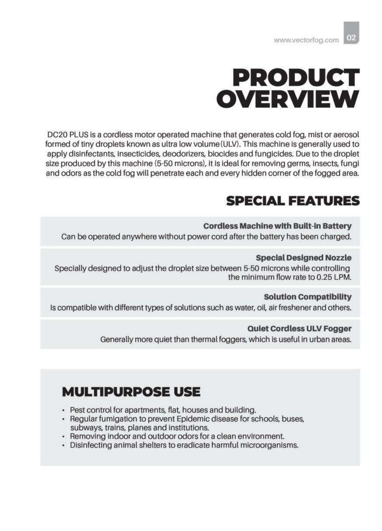## **PRODUCT OVERVIEW**

DC20 PLUS is a cordless motor operated machine that generates cold fog, mist or aerosol formed of tiny droplets known as ultra low volume (ULV). This machine is generally used to apply disinfectants, insecticides, deodorizers, biocides and fungicides. Due to the droplet size produced by this machine (5-50 microns), it is ideal for removing germs, insects, fungi and odors as the cold fog will penetrate each and every hidden corner of the fogged area.

### **SPECIAL FEATURES**

#### **Cordless Machine with Built-in Battery**

Can be operated anywhere without power cord after the battery has been charged.

#### **Special Designed Nozzle**

Specially designed to adjust the droplet size between 5-50 microns while controlling the minimum flow rate to 0.25 LPM.

#### **Solution Compatibility**

Is compatible with different types of solutions such as water, oil, air freshener and others.

#### **Quiet Cordless ULV Fogger**

Generally more quiet than thermal foggers, which is useful in urban areas.

### **MULTIPURPOSE USE**

- Pest control for apartments, flat, houses and building.
- Regular fumigation to prevent Epidemic disease for schools, buses, subways, trains, planes and institutions.
- Removing indoor and outdoor odors for a clean environment.
- Disinfecting animal shelters to eradicate harmful microorganisms.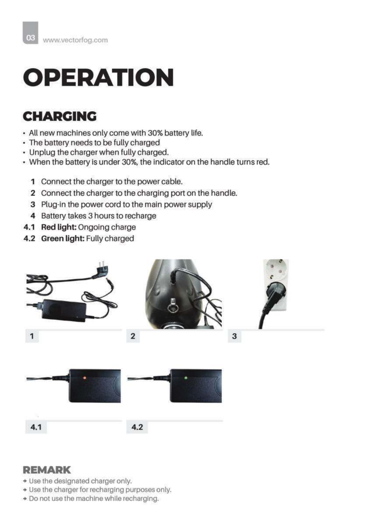# **OPERATION**

### **CHARGING**

- All new machines only come with 30% battery life.
- The battery needs to be fully charged
- Unplug the charger when fully charged.
- When the battery is under 30%, the indicator on the handle turns red.
	- 1 Connect the charger to the power cable.
	- 2 Connect the charger to the charging port on the handle.
	- 3 Plug-in the power cord to the main power supply
	- 4 Battery takes 3 hours to recharge
- 4.1 Red light: Ongoing charge
- 4.2 Green light: Fully charged



### **REMARK**

- + Use the designated charger only.
- + Use the charger for recharging purposes only.
- \* Do not use the machine while recharging.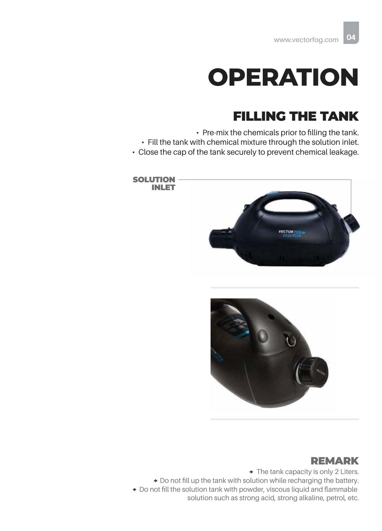## **OPERATION**

### FILLING THE TANK

• Pre-mix the chemicals prior to filling the tank. • Fill the tank with chemical mixture through the solution inlet. • Close the cap of the tank securely to prevent chemical leakage.





#### REMARK

 $\rightarrow$  The tank capacity is only 2 Liters.  $\rightarrow$  Do not fill up the tank with solution while recharging the battery. Do not fill the solution tank with powder, viscous liquid and flammable solution such as strong acid, strong alkaline, petrol, etc.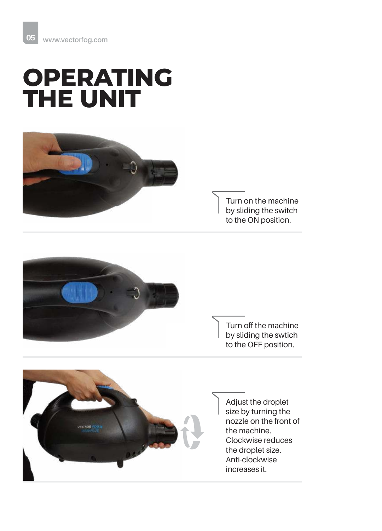## **OPERATING THE UNIT**



Turn on the machine by sliding the switch to the ON position.



Turn off the machine by sliding the swtich to the OFF position.



Adjust the droplet size by turning the nozzle on the front of the machine. Clockwise reduces the droplet size. Anti-clockwise increases it.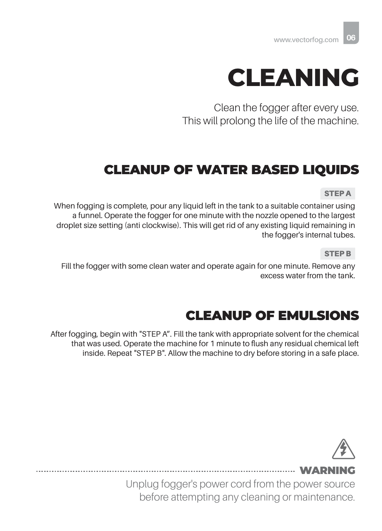

Clean the fogger after every use. This will prolong the life of the machine.

### CLEANUP OF WATER BASED LIQUIDS

STEP A

When fogging is complete, pour any liquid left in the tank to a suitable container using a funnel. Operate the fogger for one minute with the nozzle opened to the largest droplet size setting (anti clockwise). This will get rid of any existing liquid remaining in the fogger's internal tubes.

STEP B

Fill the fogger with some clean water and operate again for one minute. Remove any excess water from the tank.

### CLEANUP OF EMULSIONS

After fogging, begin with "STEP A". Fill the tank with appropriate solvent for the chemical that was used. Operate the machine for 1 minute to flush any residual chemical left inside. Repeat "STEP B". Allow the machine to dry before storing in a safe place.



....... WARNI

Unplug fogger's power cord from the power source before attempting any cleaning or maintenance.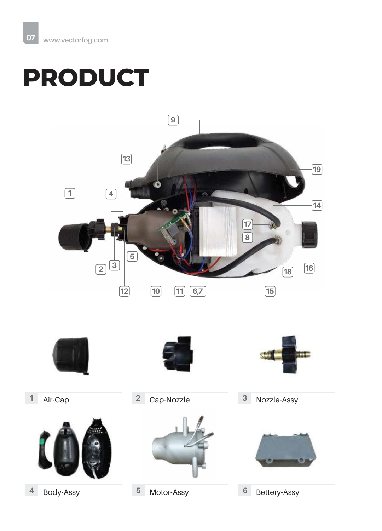# **PRODUCT**













Air-Cap Cap-Nozzle Nozzle-Assy **2 3**

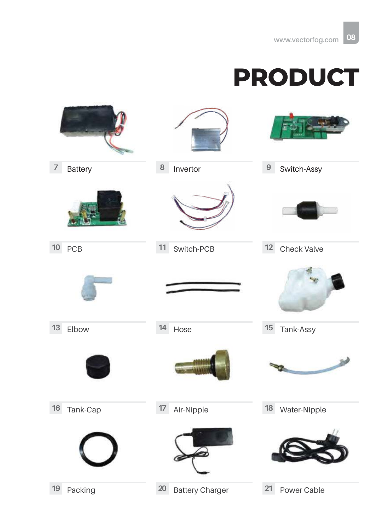## **PRODUCT**

| $\overline{7}$<br>Battery | 8<br>Invertor                | $\boldsymbol{9}$<br>Switch-Assy |
|---------------------------|------------------------------|---------------------------------|
|                           |                              |                                 |
| $10\,$<br>PCB             | 11<br>Switch-PCB             | 12<br>Check Valve               |
|                           |                              |                                 |
| $13$<br>Elbow             | 14<br>Hose                   | 15<br>Tank-Assy                 |
|                           |                              | -34                             |
| $16\,$<br>Tank-Cap        | Air-Nipple<br>$17\,$         | 18 Water-Nipple                 |
|                           |                              |                                 |
| 19<br>Packing             | 20<br><b>Battery Charger</b> | 21<br>Power Cable               |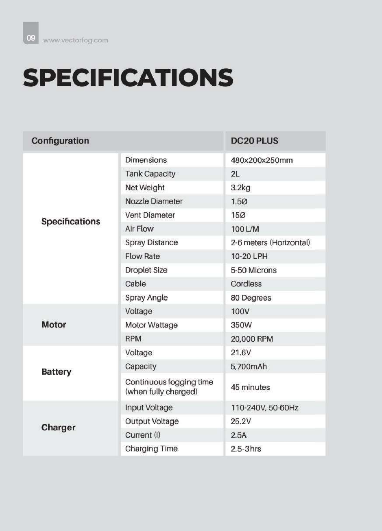# **SPECIFICATIONS**

| Configuration         |                                                 | <b>DC20 PLUS</b>        |
|-----------------------|-------------------------------------------------|-------------------------|
| <b>Specifications</b> | <b>Dimensions</b>                               | 480x200x250mm           |
|                       | <b>Tank Capacity</b>                            | 2L                      |
|                       | Net Weight                                      | 3.2kg                   |
|                       | Nozzle Diameter                                 | 1.50                    |
|                       | <b>Vent Diameter</b>                            | 150                     |
|                       | Air Flow                                        | 100 L/M                 |
|                       | <b>Spray Distance</b>                           | 2-6 meters (Horizontal) |
|                       | <b>Flow Rate</b>                                | 10-20 LPH               |
|                       | <b>Droplet Size</b>                             | 5-50 Microns            |
|                       | Cable                                           | Cordless                |
|                       | <b>Spray Angle</b>                              | 80 Degrees              |
| <b>Motor</b>          | Voltage                                         | 100V                    |
|                       | Motor Wattage                                   | 350W                    |
|                       | <b>RPM</b>                                      | 20,000 RPM              |
| <b>Battery</b>        | Voltage                                         | 21.6V                   |
|                       | Capacity                                        | 5,700mAh                |
|                       | Continuous fogging time<br>(when fully charged) | 45 minutes              |
| Charger               | <b>Input Voltage</b>                            | 110-240V, 50-60Hz       |
|                       | <b>Output Voltage</b>                           | 25.2V                   |
|                       | Current (I)                                     | 2.5A                    |
|                       | <b>Charging Time</b>                            | $2.5 - 3$ hrs           |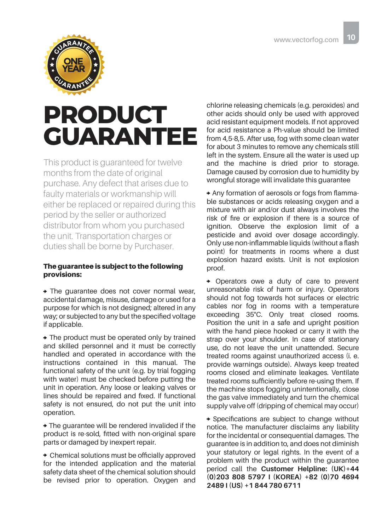

## **PRODUCT GUARANTEE**

This product is guaranteed for twelve months from the date of original purchase. Any defect that arises due to faulty materials or workmanship will either be replaced or repaired during this period by the seller or authorized distributor from whom you purchased the unit. Transportation charges or duties shall be borne by Purchaser.

#### The guarantee is subject to the following provisions:

 The guarantee does not cover normal wear, accidental damage, misuse, damage or used for a purpose for which is not designed; altered in any way; or subjected to any but the specified voltage if applicable.

• The product must be operated only by trained and skilled personnel and it must be correctly handled and operated in accordance with the instructions contained in this manual. The functional safety of the unit (e.g. by trial fogging with water) must be checked before putting the unit in operation. Any loose or leaking valves or lines should be repaired and fixed. If functional safety is not ensured, do not put the unit into operation.

 The guarantee will be rendered invalided if the product is re-sold, fitted with non-original spare parts or damaged by inexpert repair.

 Chemical solutions must be officially approved for the intended application and the material safety data sheet of the chemical solution should be revised prior to operation. Oxygen and chlorine releasing chemicals (e.g. peroxides) and other acids should only be used with approved acid resistant equipment models. If not approved for acid resistance a Ph-value should be limited from 4,5-8,5. After use, fog with some clean water for about 3 minutes to remove any chemicals still left in the system. Ensure all the water is used up and the machine is dried prior to storage. Damage caused by corrosion due to humidity by wrongful storage will invalidate this guarantee

 Any formation of aerosols or fogs from flammable substances or acids releasing oxygen and a mixture with air and/or dust always involves the risk of fire or explosion if there is a source of ignition. Observe the explosion limit of a pesticide and avoid over dosage accordingly. Only use non-inflammable liquids (without a flash point) for treatments in rooms where a dust explosion hazard exists. Unit is not explosion proof.

 Operators owe a duty of care to prevent unreasonable risk of harm or injury. Operators should not fog towards hot surfaces or electric cables nor fog in rooms with a temperature exceeding 35°C. Only treat closed rooms. Position the unit in a safe and upright position with the hand piece hooked or carry it with the strap over your shoulder. In case of stationary use, do not leave the unit unattended. Secure treated rooms against unauthorized access (i. e. provide warnings outside). Always keep treated rooms closed and eliminate leakages. Ventilate treated rooms sufficiently before re-using them. If the machine stops fogging unintentionally, close the gas valve immediately and turn the chemical supply valve off (dripping of chemical may occur)

 Specifications are subject to change without notice. The manufacturer disclaims any liability for the incidental or consequential damages. The guarantee is in addition to, and does not diminish your statutory or legal rights. In the event of a problem with the product within the guarantee period call the **Customer Helpline: (UK)+44 (0)203 808 5797 I (KOREA) +82 (0)70 4694 2489 I (US) +1 844 780 6711**